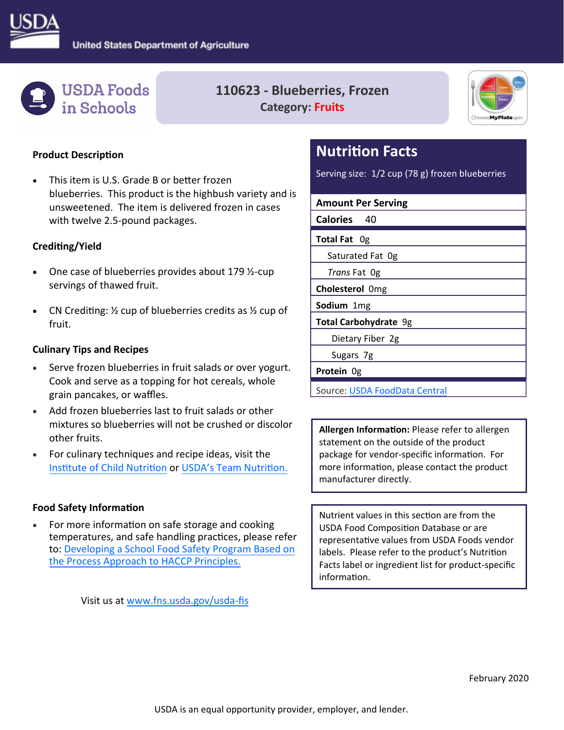



## **110623 ‐ Blueberries, Frozen Category: Fruits**



#### **Product Description**

This item is U.S. Grade B or better frozen blueberries. This product is the highbush variety and is unsweetened. The item is delivered frozen in cases with twelve 2.5‐pound packages.

#### **CrediƟng/Yield**

- One case of blueberries provides about 179 ½-cup servings of thawed fruit.
- CN Crediting:  $\frac{1}{2}$  cup of blueberries credits as  $\frac{1}{2}$  cup of fruit.

#### **Culinary Tips and Recipes**

- Serve frozen blueberries in fruit salads or over yogurt. Cook and serve as a topping for hot cereals, whole grain pancakes, or waffles.
- Add frozen blueberries last to fruit salads or other mixtures so blueberries will not be crushed or discolor other fruits.
- For culinary techniques and recipe ideas, visit the Insti[tute of Child Nutri](https://theicn.org/)tion or USDA's [Team Nutri](https://www.fns.usda.gov/tn)tion.

#### **Food Safety InformaƟon**

[the Process Approach to HACCP Principles.](https://www.fns.usda.gov/ofs/developing-school-food-safety-program-based-process-approach-haccp) For more information on safe storage and cooking temperatures, and safe handling practices, please refer to: Developing a School Food Safety Program Based on

Visit us at [www.fns.usda.gov/usda](www.fns.usda.gov/usda-fis)‐fis

# **Nutrition Facts**

Serving size: 1/2 cup (78 g) frozen blueberries

| <b>Amount Per Serving</b> |
|---------------------------|
| <b>Calories</b><br>-40    |
| Total Fat Og              |
| Saturated Fat Og          |
| Trans Fat Og              |
| Cholesterol Omg           |
| Sodium 1mg                |
| Total Carbohydrate 9g     |
| Dietary Fiber 2g          |
| Sugars 7g                 |
| <b>Protein</b> Og         |

Source: [USDA FoodData Central](https://fdc.nal.usda.gov/)

 **Allergen InformaƟon:** Please refer to allergen statement on the outside of the product package for vendor-specific information. For more information, please contact the product manufacturer directly.

Nutrient values in this section are from the USDA Food Composition Database or are representaƟve values from USDA Foods vendor labels. Please refer to the product's Nutrition Facts label or ingredient list for product‐specific information.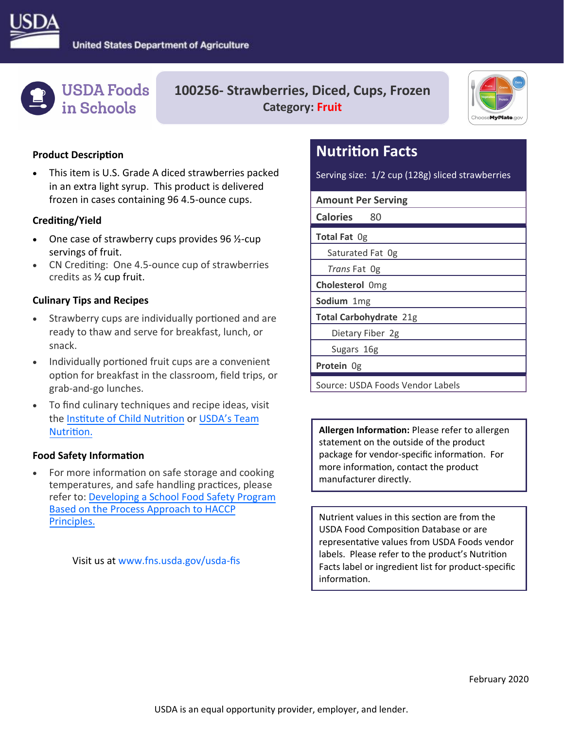



**100256‐ Strawberries, Diced, Cups, Frozen Category: Fruit** 



#### **Product Description**

 This item is U.S. Grade A diced strawberries packed in an extra light syrup. This product is delivered frozen in cases containing 96 4.5‐ounce cups.

#### **CrediƟng/Yield**

- One case of strawberry cups provides 96 ½‐cup servings of fruit.
- CN Crediting: One 4.5-ounce cup of strawberries credits as ½ cup fruit.

#### **Culinary Tips and Recipes**

- Strawberry cups are individually portioned and are ready to thaw and serve for breakfast, lunch, or snack.
- Individually portioned fruit cups are a convenient option for breakfast in the classroom, field trips, or grab‐and‐go lunches.
- To find culinary techniques and recipe ideas, visit the Insti[tute of Child Nutri](https://theicn.org/)tion or USDA's Team Nutrition.

#### **Food Safety InformaƟon**

 Principles. For more information on safe storage and cooking temperatures, and safe handling practices, please refer to: Developing a School Food Safety Program [Based on the Process Approach to HACCP](https://www.fns.usda.gov/ofs/developing-school-food-safety-program-based-process-approach-haccp)

Visit us at [www.fns.usda.gov/usda](www.fns.usda.gov/usda-fis)‐fis

# **Nutrition Facts**

Serving size: 1/2 cup (128g) sliced strawberries

**Amount Per Serving** 

**Calories** 80

**Total Fat** 0g

Saturated Fat 0g

*Trans* Fat 0g

**Cholesterol** 0mg

**Sodium** 1mg

**Total Carbohydrate** 21g

Dietary Fiber 2g

Sugars 16g

**Protein** 0g

Source: USDA Foods Vendor Labels

 **Allergen InformaƟon:** Please refer to allergen statement on the outside of the product package for vendor-specific information. For more information, contact the product manufacturer directly.

Nutrient values in this section are from the USDA Food Composition Database or are representaƟve values from USDA Foods vendor labels. Please refer to the product's Nutrition Facts label or ingredient list for product‐specific information.